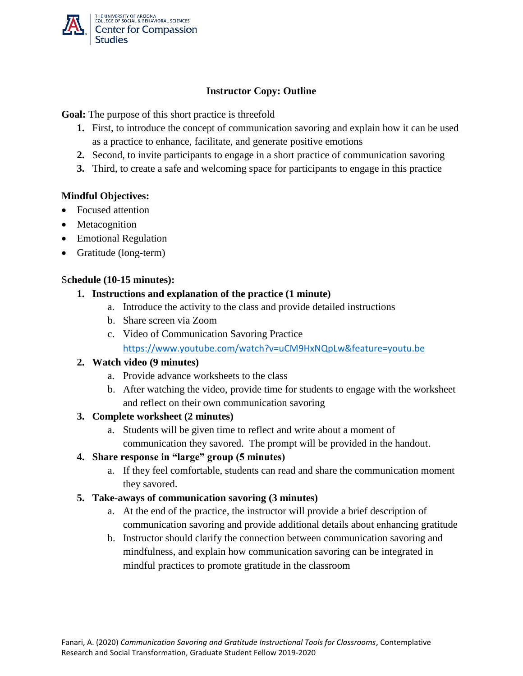

### **Instructor Copy: Outline**

**Goal:** The purpose of this short practice is threefold

- **1.** First, to introduce the concept of communication savoring and explain how it can be used as a practice to enhance, facilitate, and generate positive emotions
- **2.** Second, to invite participants to engage in a short practice of communication savoring
- **3.** Third, to create a safe and welcoming space for participants to engage in this practice

### **Mindful Objectives:**

- Focused attention
- Metacognition
- Emotional Regulation
- Gratitude (long-term)

### S**chedule (10-15 minutes):**

### **1. Instructions and explanation of the practice (1 minute)**

- a. Introduce the activity to the class and provide detailed instructions
- b. Share screen via Zoom
- c. Video of Communication Savoring Practice <https://www.youtube.com/watch?v=uCM9HxNQpLw&feature=youtu.be>

# **2. Watch video (9 minutes)**

- a. Provide advance worksheets to the class
- b. After watching the video, provide time for students to engage with the worksheet and reflect on their own communication savoring

### **3. Complete worksheet (2 minutes)**

a. Students will be given time to reflect and write about a moment of communication they savored. The prompt will be provided in the handout.

# **4. Share response in "large" group (5 minutes)**

a. If they feel comfortable, students can read and share the communication moment they savored.

### **5. Take-aways of communication savoring (3 minutes)**

- a. At the end of the practice, the instructor will provide a brief description of communication savoring and provide additional details about enhancing gratitude
- b. Instructor should clarify the connection between communication savoring and mindfulness, and explain how communication savoring can be integrated in mindful practices to promote gratitude in the classroom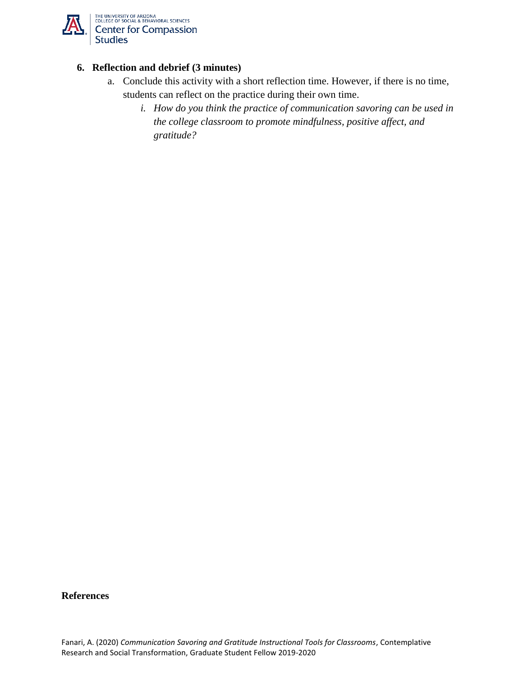

### **6. Reflection and debrief (3 minutes)**

- a. Conclude this activity with a short reflection time. However, if there is no time, students can reflect on the practice during their own time.
	- *i. How do you think the practice of communication savoring can be used in the college classroom to promote mindfulness, positive affect, and gratitude?*

#### **References**